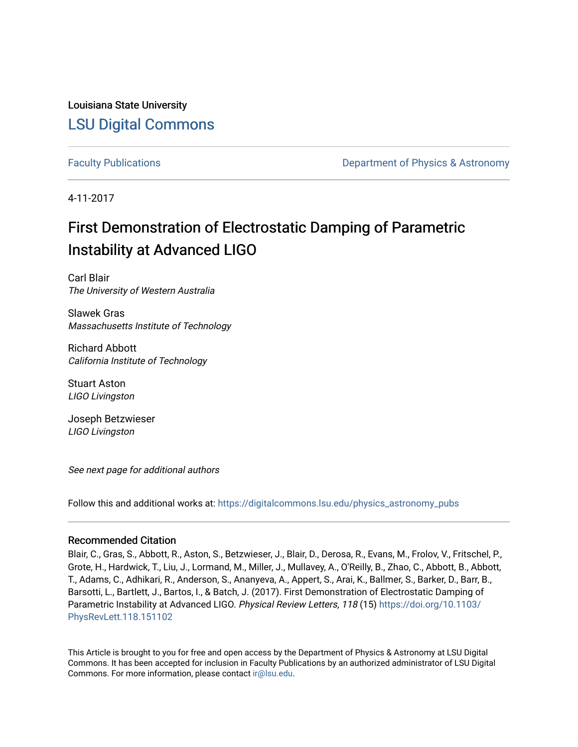Louisiana State University [LSU Digital Commons](https://digitalcommons.lsu.edu/)

[Faculty Publications](https://digitalcommons.lsu.edu/physics_astronomy_pubs) **Example 2** Constant Department of Physics & Astronomy

4-11-2017

## First Demonstration of Electrostatic Damping of Parametric Instability at Advanced LIGO

Carl Blair The University of Western Australia

Slawek Gras Massachusetts Institute of Technology

Richard Abbott California Institute of Technology

Stuart Aston LIGO Livingston

Joseph Betzwieser LIGO Livingston

See next page for additional authors

Follow this and additional works at: [https://digitalcommons.lsu.edu/physics\\_astronomy\\_pubs](https://digitalcommons.lsu.edu/physics_astronomy_pubs?utm_source=digitalcommons.lsu.edu%2Fphysics_astronomy_pubs%2F1611&utm_medium=PDF&utm_campaign=PDFCoverPages) 

#### Recommended Citation

Blair, C., Gras, S., Abbott, R., Aston, S., Betzwieser, J., Blair, D., Derosa, R., Evans, M., Frolov, V., Fritschel, P., Grote, H., Hardwick, T., Liu, J., Lormand, M., Miller, J., Mullavey, A., O'Reilly, B., Zhao, C., Abbott, B., Abbott, T., Adams, C., Adhikari, R., Anderson, S., Ananyeva, A., Appert, S., Arai, K., Ballmer, S., Barker, D., Barr, B., Barsotti, L., Bartlett, J., Bartos, I., & Batch, J. (2017). First Demonstration of Electrostatic Damping of Parametric Instability at Advanced LIGO. Physical Review Letters, 118 (15) [https://doi.org/10.1103/](https://doi.org/10.1103/PhysRevLett.118.151102) [PhysRevLett.118.151102](https://doi.org/10.1103/PhysRevLett.118.151102) 

This Article is brought to you for free and open access by the Department of Physics & Astronomy at LSU Digital Commons. It has been accepted for inclusion in Faculty Publications by an authorized administrator of LSU Digital Commons. For more information, please contact [ir@lsu.edu](mailto:ir@lsu.edu).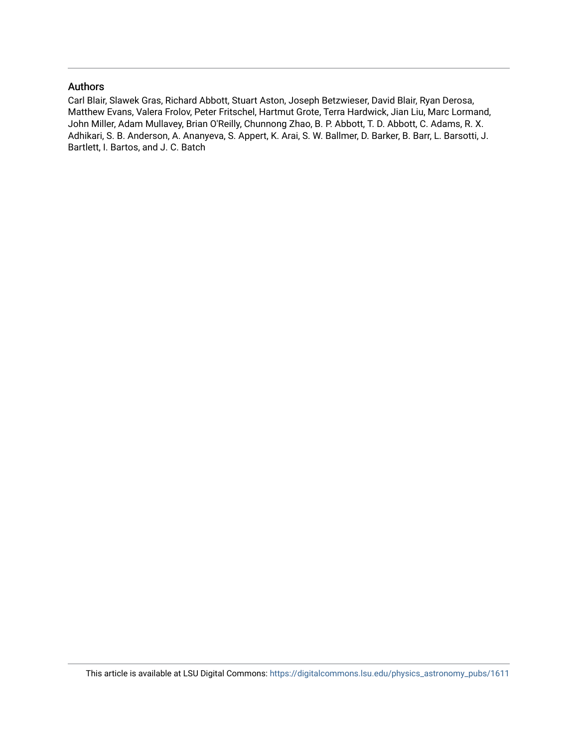### Authors

Carl Blair, Slawek Gras, Richard Abbott, Stuart Aston, Joseph Betzwieser, David Blair, Ryan Derosa, Matthew Evans, Valera Frolov, Peter Fritschel, Hartmut Grote, Terra Hardwick, Jian Liu, Marc Lormand, John Miller, Adam Mullavey, Brian O'Reilly, Chunnong Zhao, B. P. Abbott, T. D. Abbott, C. Adams, R. X. Adhikari, S. B. Anderson, A. Ananyeva, S. Appert, K. Arai, S. W. Ballmer, D. Barker, B. Barr, L. Barsotti, J. Bartlett, I. Bartos, and J. C. Batch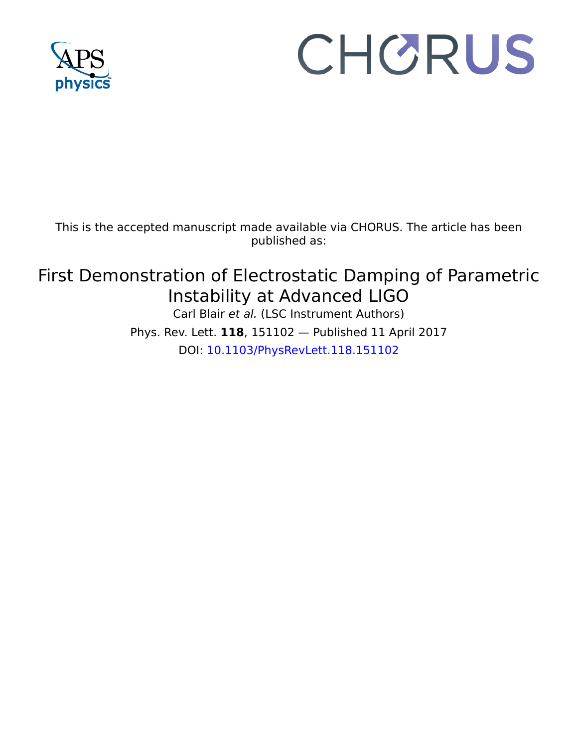

# CHORUS

This is the accepted manuscript made available via CHORUS. The article has been published as:

## First Demonstration of Electrostatic Damping of Parametric Instability at Advanced LIGO

Carl Blair et al. (LSC Instrument Authors)

Phys. Rev. Lett. **118**, 151102 — Published 11 April 2017 DOI: [10.1103/PhysRevLett.118.151102](http://dx.doi.org/10.1103/PhysRevLett.118.151102)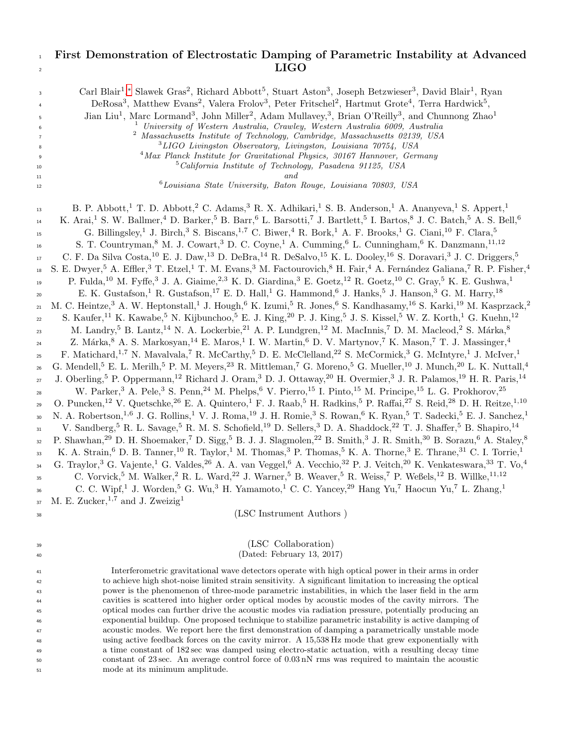### <sup>1</sup> First Demonstration of Electrostatic Damping of Parametric Instability at Advanced  $\overline{\text{LIGO}}$

| 3<br>4<br>5<br>6<br>7<br>8<br>9<br>10<br>$11\,$                                                                                                                             | Carl Blair <sup>1</sup> ,* Slawek Gras <sup>2</sup> , Richard Abbott <sup>5</sup> , Stuart Aston <sup>3</sup> , Joseph Betzwieser <sup>3</sup> , David Blair <sup>1</sup> , Ryan<br>DeRosa <sup>3</sup> , Matthew Evans <sup>2</sup> , Valera Frolov <sup>3</sup> , Peter Fritschel <sup>2</sup> , Hartmut Grote <sup>4</sup> , Terra Hardwick <sup>5</sup> ,<br>Jian Liu <sup>1</sup> , Marc Lormand <sup>3</sup> , John Miller <sup>2</sup> , Adam Mullavey, <sup>3</sup> , Brian O'Reilly <sup>3</sup> , and Chunnong Zhao <sup>1</sup><br>University of Western Australia, Crawley, Western Australia 6009, Australia<br>$\overline{a}$<br>Massachusetts Institute of Technology, Cambridge, Massachusetts 02139, USA<br><sup>3</sup> LIGO Livingston Observatory, Livingston, Louisiana 70754, USA<br><sup>4</sup> Max Planck Institute for Gravitational Physics, 30167 Hannover, Germany<br><sup>5</sup> California Institute of Technology, Pasadena 91125, USA                                                                                                                                                                                                                                                                                                                                                                                                                                                                                                                                                                                                                                                                                                                                                                                                                                                                                                                                                                                                                                                                                                                                                                                                                                                                                                                                                                                                                                                                                                                                                                                                                                                                                                                                                                                                                                                                                                                                                                                                                                                                                                                                                                                                                                                                                                                                                                                                                                                                                                                                                                                                                                                                                                                                                                                                                                                                                                                                                                                                                                                                                                                                                                                                                                                                                                                                                                                                                                                                                                                                                                                                                                                                                                                                                                                                                                                                                                                                                                                                                                                                            |
|-----------------------------------------------------------------------------------------------------------------------------------------------------------------------------|----------------------------------------------------------------------------------------------------------------------------------------------------------------------------------------------------------------------------------------------------------------------------------------------------------------------------------------------------------------------------------------------------------------------------------------------------------------------------------------------------------------------------------------------------------------------------------------------------------------------------------------------------------------------------------------------------------------------------------------------------------------------------------------------------------------------------------------------------------------------------------------------------------------------------------------------------------------------------------------------------------------------------------------------------------------------------------------------------------------------------------------------------------------------------------------------------------------------------------------------------------------------------------------------------------------------------------------------------------------------------------------------------------------------------------------------------------------------------------------------------------------------------------------------------------------------------------------------------------------------------------------------------------------------------------------------------------------------------------------------------------------------------------------------------------------------------------------------------------------------------------------------------------------------------------------------------------------------------------------------------------------------------------------------------------------------------------------------------------------------------------------------------------------------------------------------------------------------------------------------------------------------------------------------------------------------------------------------------------------------------------------------------------------------------------------------------------------------------------------------------------------------------------------------------------------------------------------------------------------------------------------------------------------------------------------------------------------------------------------------------------------------------------------------------------------------------------------------------------------------------------------------------------------------------------------------------------------------------------------------------------------------------------------------------------------------------------------------------------------------------------------------------------------------------------------------------------------------------------------------------------------------------------------------------------------------------------------------------------------------------------------------------------------------------------------------------------------------------------------------------------------------------------------------------------------------------------------------------------------------------------------------------------------------------------------------------------------------------------------------------------------------------------------------------------------------------------------------------------------------------------------------------------------------------------------------------------------------------------------------------------------------------------------------------------------------------------------------------------------------------------------------------------------------------------------------------------------------------------------------------------------------------------------------------------------------------------------------------------------------------------------------------------------------------------------------------------------------------------------------------------------------------------------------------------------------------------------------------------------------------------------------------------------------------------------------------------------------------------------------------------------------------------------------------------------------------------------------------------------------------------------------------------------------------------------------------------------------------------------------------------------------------------------------------|
| 12                                                                                                                                                                          | <sup>6</sup> Louisiana State University, Baton Rouge, Louisiana 70803, USA                                                                                                                                                                                                                                                                                                                                                                                                                                                                                                                                                                                                                                                                                                                                                                                                                                                                                                                                                                                                                                                                                                                                                                                                                                                                                                                                                                                                                                                                                                                                                                                                                                                                                                                                                                                                                                                                                                                                                                                                                                                                                                                                                                                                                                                                                                                                                                                                                                                                                                                                                                                                                                                                                                                                                                                                                                                                                                                                                                                                                                                                                                                                                                                                                                                                                                                                                                                                                                                                                                                                                                                                                                                                                                                                                                                                                                                                                                                                                                                                                                                                                                                                                                                                                                                                                                                                                                                                                                                                                                                                                                                                                                                                                                                                                                                                                                                                                                                                                                         |
| 13<br>14<br>$15\,$<br>16<br>17<br>18<br>19<br>20<br>$\bf{21}$<br>$22\,$<br>23<br>24<br>25<br>$26\,$<br>27<br>28<br>29<br>30<br>31<br>32<br>33<br>34<br>35<br>36<br>37<br>38 | B. P. Abbott, <sup>1</sup> T. D. Abbott, <sup>2</sup> C. Adams, <sup>3</sup> R. X. Adhikari, <sup>1</sup> S. B. Anderson, <sup>1</sup> A. Ananyeva, <sup>1</sup> S. Appert, <sup>1</sup><br>K. Arai, <sup>1</sup> S. W. Ballmer, <sup>4</sup> D. Barker, <sup>5</sup> B. Barr, <sup>6</sup> L. Barsotti, <sup>7</sup> J. Bartlett, <sup>5</sup> I. Bartos, <sup>8</sup> J. C. Batch, <sup>5</sup> A. S. Bell, <sup>6</sup><br>G. Billingsley, <sup>1</sup> J. Birch, <sup>3</sup> S. Biscans, <sup>1,7</sup> C. Biwer, <sup>4</sup> R. Bork, <sup>1</sup> A. F. Brooks, <sup>1</sup> G. Ciani, <sup>10</sup> F. Clara, <sup>5</sup><br>S. T. Countryman, <sup>8</sup> M. J. Cowart, <sup>3</sup> D. C. Coyne, <sup>1</sup> A. Cumming, <sup>6</sup> L. Cunningham, <sup>6</sup> K. Danzmann, <sup>11,12</sup><br>C. F. Da Silva Costa, <sup>10</sup> E. J. Daw, <sup>13</sup> D. DeBra, <sup>14</sup> R. DeSalvo, <sup>15</sup> K. L. Dooley, <sup>16</sup> S. Doravari, <sup>3</sup> J. C. Driggers, <sup>5</sup><br>S. E. Dwyer, <sup>5</sup> A. Effler, <sup>3</sup> T. Etzel, <sup>1</sup> T. M. Evans, <sup>3</sup> M. Factourovich, <sup>8</sup> H. Fair, <sup>4</sup> A. Fernández Galiana, <sup>7</sup> R. P. Fisher, <sup>4</sup><br>P. Fulda, <sup>10</sup> M. Fyffe, <sup>3</sup> J. A. Giaime, <sup>2,3</sup> K. D. Giardina, <sup>3</sup> E. Goetz, <sup>12</sup> R. Goetz, <sup>10</sup> C. Gray, <sup>5</sup> K. E. Gushwa, <sup>1</sup><br>E. K. Gustafson, <sup>1</sup> R. Gustafson, <sup>17</sup> E. D. Hall, <sup>1</sup> G. Hammond, <sup>6</sup> J. Hanks, <sup>5</sup> J. Hanson, <sup>3</sup> G. M. Harry, <sup>18</sup><br>M. C. Heintze, <sup>3</sup> A. W. Heptonstall, <sup>1</sup> J. Hough, <sup>6</sup> K. Izumi, <sup>5</sup> R. Jones, <sup>6</sup> S. Kandhasamy, <sup>16</sup> S. Karki, <sup>19</sup> M. Kasprzack, <sup>2</sup><br>S. Kaufer, <sup>11</sup> K. Kawabe, <sup>5</sup> N. Kijbunchoo, <sup>5</sup> E. J. King, <sup>20</sup> P. J. King, <sup>5</sup> J. S. Kissel, <sup>5</sup> W. Z. Korth, <sup>1</sup> G. Kuehn, <sup>12</sup><br>M. Landry, 5 B. Lantz, <sup>14</sup> N. A. Lockerbie, <sup>21</sup> A. P. Lundgren, <sup>12</sup> M. MacInnis, <sup>7</sup> D. M. Macleod, <sup>2</sup> S. Márka, <sup>8</sup><br>Z. Márka, 8 A. S. Markosyan, <sup>14</sup> E. Maros, <sup>1</sup> I. W. Martin, <sup>6</sup> D. V. Martynov, <sup>7</sup> K. Mason, <sup>7</sup> T. J. Massinger, <sup>4</sup><br>F. Matichard, <sup>1,7</sup> N. Mavalvala, <sup>7</sup> R. McCarthy, <sup>5</sup> D. E. McClelland, <sup>22</sup> S. McCormick, <sup>3</sup> G. McIntyre, <sup>1</sup> J. McIver, <sup>1</sup><br>G. Mendell, $^5$ E. L. Merilh, $^5$ P. M. Meyers, $^{23}$ R. Mittleman, $^7$ G. Moreno, $^5$ G. Mueller, $^{10}$ J. Munch, $^{20}$ L. K. Nuttall, $^{4}$<br>J. Oberling, <sup>5</sup> P. Oppermann, <sup>12</sup> Richard J. Oram, <sup>3</sup> D. J. Ottaway, <sup>20</sup> H. Overmier, <sup>3</sup> J. R. Palamos, <sup>19</sup> H. R. Paris, <sup>14</sup><br>W. Parker, <sup>3</sup> A. Pele, <sup>3</sup> S. Penn, <sup>24</sup> M. Phelps, <sup>6</sup> V. Pierro, <sup>15</sup> I. Pinto, <sup>15</sup> M. Principe, <sup>15</sup> L. G. Prokhorov, <sup>25</sup><br>O. Puncken, <sup>12</sup> V. Quetschke, <sup>26</sup> E. A. Quintero, <sup>1</sup> F. J. Raab, <sup>5</sup> H. Radkins, <sup>5</sup> P. Raffai, <sup>27</sup> S. Reid, <sup>28</sup> D. H. Reitze, <sup>1,10</sup><br>N. A. Robertson, <sup>1,6</sup> J. G. Rollins, <sup>1</sup> V. J. Roma, <sup>19</sup> J. H. Romie, <sup>3</sup> S. Rowan, <sup>6</sup> K. Ryan, <sup>5</sup> T. Sadecki, <sup>5</sup> E. J. Sanchez, <sup>1</sup><br>V. Sandberg, <sup>5</sup> R. L. Savage, <sup>5</sup> R. M. S. Schofield, <sup>19</sup> D. Sellers, <sup>3</sup> D. A. Shaddock, <sup>22</sup> T. J. Shaffer, <sup>5</sup> B. Shapiro, <sup>14</sup><br>P. Shawhan, <sup>29</sup> D. H. Shoemaker, <sup>7</sup> D. Sigg, <sup>5</sup> B. J. J. Slagmolen, <sup>22</sup> B. Smith, <sup>3</sup> J. R. Smith, <sup>30</sup> B. Sorazu, <sup>6</sup> A. Staley, <sup>8</sup><br>K. A. Strain, <sup>6</sup> D. B. Tanner, <sup>10</sup> R. Taylor, <sup>1</sup> M. Thomas, <sup>3</sup> P. Thomas, <sup>5</sup> K. A. Thorne, <sup>3</sup> E. Thrane, <sup>31</sup> C. I. Torrie, <sup>1</sup><br>G. Traylor, <sup>3</sup> G. Vajente, <sup>1</sup> G. Valdes, <sup>26</sup> A. A. van Veggel, <sup>6</sup> A. Vecchio, <sup>32</sup> P. J. Veitch, <sup>20</sup> K. Venkateswara, <sup>33</sup> T. Vo, <sup>4</sup><br>C. Vorvick, <sup>5</sup> M. Walker, <sup>2</sup> R. L. Ward, <sup>22</sup> J. Warner, <sup>5</sup> B. Weaver, <sup>5</sup> R. Weiss, <sup>7</sup> P. Weßels, <sup>12</sup> B. Willke, <sup>11, 12</sup><br>C. C. Wipf, <sup>1</sup> J. Worden, <sup>5</sup> G. Wu, <sup>3</sup> H. Yamamoto, <sup>1</sup> C. C. Yancey, <sup>29</sup> Hang Yu, <sup>7</sup> Haocun Yu, <sup>7</sup> L. Zhang, <sup>1</sup><br>M. E. Zucker, $1.7$ and J. Zweizig <sup>1</sup><br>(LSC Instrument Authors) |
|                                                                                                                                                                             |                                                                                                                                                                                                                                                                                                                                                                                                                                                                                                                                                                                                                                                                                                                                                                                                                                                                                                                                                                                                                                                                                                                                                                                                                                                                                                                                                                                                                                                                                                                                                                                                                                                                                                                                                                                                                                                                                                                                                                                                                                                                                                                                                                                                                                                                                                                                                                                                                                                                                                                                                                                                                                                                                                                                                                                                                                                                                                                                                                                                                                                                                                                                                                                                                                                                                                                                                                                                                                                                                                                                                                                                                                                                                                                                                                                                                                                                                                                                                                                                                                                                                                                                                                                                                                                                                                                                                                                                                                                                                                                                                                                                                                                                                                                                                                                                                                                                                                                                                                                                                                                    |
| 39                                                                                                                                                                          | (LSC Collaboration)                                                                                                                                                                                                                                                                                                                                                                                                                                                                                                                                                                                                                                                                                                                                                                                                                                                                                                                                                                                                                                                                                                                                                                                                                                                                                                                                                                                                                                                                                                                                                                                                                                                                                                                                                                                                                                                                                                                                                                                                                                                                                                                                                                                                                                                                                                                                                                                                                                                                                                                                                                                                                                                                                                                                                                                                                                                                                                                                                                                                                                                                                                                                                                                                                                                                                                                                                                                                                                                                                                                                                                                                                                                                                                                                                                                                                                                                                                                                                                                                                                                                                                                                                                                                                                                                                                                                                                                                                                                                                                                                                                                                                                                                                                                                                                                                                                                                                                                                                                                                                                |
| 40                                                                                                                                                                          | (Dated: February 13, 2017)                                                                                                                                                                                                                                                                                                                                                                                                                                                                                                                                                                                                                                                                                                                                                                                                                                                                                                                                                                                                                                                                                                                                                                                                                                                                                                                                                                                                                                                                                                                                                                                                                                                                                                                                                                                                                                                                                                                                                                                                                                                                                                                                                                                                                                                                                                                                                                                                                                                                                                                                                                                                                                                                                                                                                                                                                                                                                                                                                                                                                                                                                                                                                                                                                                                                                                                                                                                                                                                                                                                                                                                                                                                                                                                                                                                                                                                                                                                                                                                                                                                                                                                                                                                                                                                                                                                                                                                                                                                                                                                                                                                                                                                                                                                                                                                                                                                                                                                                                                                                                         |
| 41                                                                                                                                                                          | Interferometric gravitational wave detectors operate with high optical power in their arms in order                                                                                                                                                                                                                                                                                                                                                                                                                                                                                                                                                                                                                                                                                                                                                                                                                                                                                                                                                                                                                                                                                                                                                                                                                                                                                                                                                                                                                                                                                                                                                                                                                                                                                                                                                                                                                                                                                                                                                                                                                                                                                                                                                                                                                                                                                                                                                                                                                                                                                                                                                                                                                                                                                                                                                                                                                                                                                                                                                                                                                                                                                                                                                                                                                                                                                                                                                                                                                                                                                                                                                                                                                                                                                                                                                                                                                                                                                                                                                                                                                                                                                                                                                                                                                                                                                                                                                                                                                                                                                                                                                                                                                                                                                                                                                                                                                                                                                                                                                |
| 42                                                                                                                                                                          | to achieve high shot-noise limited strain sensitivity. A significant limitation to increasing the optical                                                                                                                                                                                                                                                                                                                                                                                                                                                                                                                                                                                                                                                                                                                                                                                                                                                                                                                                                                                                                                                                                                                                                                                                                                                                                                                                                                                                                                                                                                                                                                                                                                                                                                                                                                                                                                                                                                                                                                                                                                                                                                                                                                                                                                                                                                                                                                                                                                                                                                                                                                                                                                                                                                                                                                                                                                                                                                                                                                                                                                                                                                                                                                                                                                                                                                                                                                                                                                                                                                                                                                                                                                                                                                                                                                                                                                                                                                                                                                                                                                                                                                                                                                                                                                                                                                                                                                                                                                                                                                                                                                                                                                                                                                                                                                                                                                                                                                                                          |
| 43                                                                                                                                                                          | power is the phenomenon of three-mode parametric instabilities, in which the laser field in the arm                                                                                                                                                                                                                                                                                                                                                                                                                                                                                                                                                                                                                                                                                                                                                                                                                                                                                                                                                                                                                                                                                                                                                                                                                                                                                                                                                                                                                                                                                                                                                                                                                                                                                                                                                                                                                                                                                                                                                                                                                                                                                                                                                                                                                                                                                                                                                                                                                                                                                                                                                                                                                                                                                                                                                                                                                                                                                                                                                                                                                                                                                                                                                                                                                                                                                                                                                                                                                                                                                                                                                                                                                                                                                                                                                                                                                                                                                                                                                                                                                                                                                                                                                                                                                                                                                                                                                                                                                                                                                                                                                                                                                                                                                                                                                                                                                                                                                                                                                |
| 44                                                                                                                                                                          | cavities is scattered into higher order optical modes by acoustic modes of the cavity mirrors. The                                                                                                                                                                                                                                                                                                                                                                                                                                                                                                                                                                                                                                                                                                                                                                                                                                                                                                                                                                                                                                                                                                                                                                                                                                                                                                                                                                                                                                                                                                                                                                                                                                                                                                                                                                                                                                                                                                                                                                                                                                                                                                                                                                                                                                                                                                                                                                                                                                                                                                                                                                                                                                                                                                                                                                                                                                                                                                                                                                                                                                                                                                                                                                                                                                                                                                                                                                                                                                                                                                                                                                                                                                                                                                                                                                                                                                                                                                                                                                                                                                                                                                                                                                                                                                                                                                                                                                                                                                                                                                                                                                                                                                                                                                                                                                                                                                                                                                                                                 |
| 45                                                                                                                                                                          | optical modes can further drive the acoustic modes via radiation pressure, potentially producing an                                                                                                                                                                                                                                                                                                                                                                                                                                                                                                                                                                                                                                                                                                                                                                                                                                                                                                                                                                                                                                                                                                                                                                                                                                                                                                                                                                                                                                                                                                                                                                                                                                                                                                                                                                                                                                                                                                                                                                                                                                                                                                                                                                                                                                                                                                                                                                                                                                                                                                                                                                                                                                                                                                                                                                                                                                                                                                                                                                                                                                                                                                                                                                                                                                                                                                                                                                                                                                                                                                                                                                                                                                                                                                                                                                                                                                                                                                                                                                                                                                                                                                                                                                                                                                                                                                                                                                                                                                                                                                                                                                                                                                                                                                                                                                                                                                                                                                                                                |
| 46                                                                                                                                                                          | exponential buildup. One proposed technique to stabilize parametric instability is active damping of                                                                                                                                                                                                                                                                                                                                                                                                                                                                                                                                                                                                                                                                                                                                                                                                                                                                                                                                                                                                                                                                                                                                                                                                                                                                                                                                                                                                                                                                                                                                                                                                                                                                                                                                                                                                                                                                                                                                                                                                                                                                                                                                                                                                                                                                                                                                                                                                                                                                                                                                                                                                                                                                                                                                                                                                                                                                                                                                                                                                                                                                                                                                                                                                                                                                                                                                                                                                                                                                                                                                                                                                                                                                                                                                                                                                                                                                                                                                                                                                                                                                                                                                                                                                                                                                                                                                                                                                                                                                                                                                                                                                                                                                                                                                                                                                                                                                                                                                               |
| 47                                                                                                                                                                          | acoustic modes. We report here the first demonstration of damping a parametrically unstable mode                                                                                                                                                                                                                                                                                                                                                                                                                                                                                                                                                                                                                                                                                                                                                                                                                                                                                                                                                                                                                                                                                                                                                                                                                                                                                                                                                                                                                                                                                                                                                                                                                                                                                                                                                                                                                                                                                                                                                                                                                                                                                                                                                                                                                                                                                                                                                                                                                                                                                                                                                                                                                                                                                                                                                                                                                                                                                                                                                                                                                                                                                                                                                                                                                                                                                                                                                                                                                                                                                                                                                                                                                                                                                                                                                                                                                                                                                                                                                                                                                                                                                                                                                                                                                                                                                                                                                                                                                                                                                                                                                                                                                                                                                                                                                                                                                                                                                                                                                   |
| 48<br>49                                                                                                                                                                    | using active feedback forces on the cavity mirror. A 15,538 Hz mode that grew exponentially with<br>a time constant of 182 sec was damped using electro-static actuation, with a resulting decay time                                                                                                                                                                                                                                                                                                                                                                                                                                                                                                                                                                                                                                                                                                                                                                                                                                                                                                                                                                                                                                                                                                                                                                                                                                                                                                                                                                                                                                                                                                                                                                                                                                                                                                                                                                                                                                                                                                                                                                                                                                                                                                                                                                                                                                                                                                                                                                                                                                                                                                                                                                                                                                                                                                                                                                                                                                                                                                                                                                                                                                                                                                                                                                                                                                                                                                                                                                                                                                                                                                                                                                                                                                                                                                                                                                                                                                                                                                                                                                                                                                                                                                                                                                                                                                                                                                                                                                                                                                                                                                                                                                                                                                                                                                                                                                                                                                              |
|                                                                                                                                                                             |                                                                                                                                                                                                                                                                                                                                                                                                                                                                                                                                                                                                                                                                                                                                                                                                                                                                                                                                                                                                                                                                                                                                                                                                                                                                                                                                                                                                                                                                                                                                                                                                                                                                                                                                                                                                                                                                                                                                                                                                                                                                                                                                                                                                                                                                                                                                                                                                                                                                                                                                                                                                                                                                                                                                                                                                                                                                                                                                                                                                                                                                                                                                                                                                                                                                                                                                                                                                                                                                                                                                                                                                                                                                                                                                                                                                                                                                                                                                                                                                                                                                                                                                                                                                                                                                                                                                                                                                                                                                                                                                                                                                                                                                                                                                                                                                                                                                                                                                                                                                                                                    |

<sup>49</sup> a time constant of 182 sec was damped using electro-static actuation, with a resulting decay time <sup>50</sup> constant of 23 sec. An average control force of 0.03 nN rms was required to maintain the acoustic <sup>51</sup> mode at its minimum amplitude.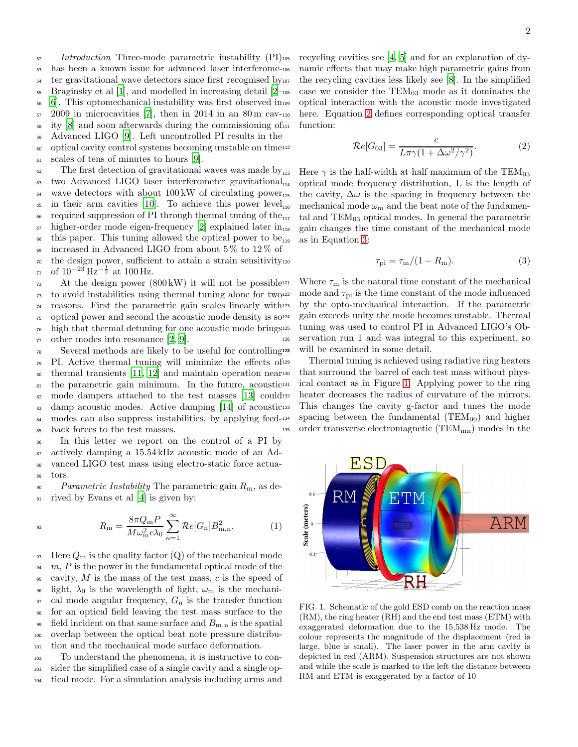$<sub>52</sub> Introduction$  Three-mode parametric instability (PI)<sub>105</sub></sub> has been a known issue for advanced laser interferome-<sup>54</sup> ter gravitational wave detectors since first recognised by<sub>107</sub> Braginsky et al [\[1\]](#page-8-1), and modelled in increasing detail  $[2-108]$  [6](#page-8-3)]. This optomechanical instability was first observed in  $57 \quad 2009$  in microcavities [\[7\]](#page-8-4), then in 2014 in an 80 m cav-110 ity  $[8]$  and soon afterwards during the commissioning of  $\mu$  Advanced LIGO [\[9](#page-8-6)]. Left uncontrolled PI results in the optical cavity control systems becoming unstable on time

 $61$  scales of tens of minutes to hours [\[9](#page-8-6)].

 $\epsilon_6$  The first detection of gravitational waves was made by<sub>113</sub>  $\mu$ <sub>63</sub> two Advanced LIGO laser interferometer gravitational<sub>114</sub>  $\mu_{\text{64}}$  wave detectors with about 100 kW of circulating power <sup>65</sup> in their arm cavities [\[10](#page-8-7)]. To achieve this power level<sub>116</sub>  $\epsilon$  required suppression of PI through thermal tuning of the  $\sigma$  higher-order mode eigen-frequency [\[2](#page-8-2)] explained later  $\text{in}_{118}$  $68$  this paper. This tuning allowed the optical power to be<sub>119</sub> <sup>69</sup> increased in Advanced LIGO from about 5 % to 12 % of  $70$  the design power, sufficient to attain a strain sensitivity $_{120}$ 

 $\sigma_1$  of  $10^{-23}$  Hz<sup>- $\frac{1}{2}$ </sup> at 100 Hz.

 At the design power (800 kW) it will not be possible<sup>121</sup> to avoid instabilities using thermal tuning alone for two<sup>122</sup> reasons. First the parametric gain scales linearly with optical power and second the acoustic mode density is so high that thermal detuning for one acoustic mode brings  $\pi$  other modes into resonance [\[2](#page-8-2), [9](#page-8-6)].

<sup>78</sup> Several methods are likely to be useful for controlling <sup>79</sup> PI. Active thermal tuning will minimize the effects of <sup>80</sup> thermal transients [\[11](#page-8-8), [12\]](#page-8-9) and maintain operation near 81 the parametric gain minimum. In the future, acoustic<sup>131</sup> 82 mode dampers attached to the test masses [\[13](#page-8-10)] could<sup>132</sup> 83 damp acoustic modes. Active damping [\[14](#page-8-11)] of acoustic<sup>133</sup> 84 modes can also suppress instabilities, by applying feed-134 <sup>85</sup> back forces to the test masses.

 In this letter we report on the control of a PI by actively damping a 15.54 kHz acoustic mode of an Ad- vanced LIGO test mass using electro-static force actua-<sup>89</sup> tors.

<sup>90</sup> Parametric Instability The parametric gain  $R_{\rm m}$ , as de-<sup>91</sup> rived by Evans et al [\[4\]](#page-8-12) is given by:

$$
R_{\rm m} = \frac{8\pi Q_{\rm m}P}{M\omega_{\rm m}^2 c\lambda_0} \sum_{n=1}^{\infty} \mathcal{R}e[G_{\rm n}]B_{\rm m,n}^2.
$$
 (1)

93 Here  $Q_m$  is the quality factor  $(Q)$  of the mechanical mode  $94 \, m$ , P is the power in the fundamental optical mode of the 95 cavity, M is the mass of the test mass, c is the speed of <sup>96</sup> light,  $\lambda_0$  is the wavelength of light,  $\omega_{\rm m}$  is the mechani- $\mathcal{P}$  cal mode angular frequency,  $G_n$  is the transfer function <sup>98</sup> for an optical field leaving the test mass surface to the 99 field incident on that same surface and  $B_{\text{m,n}}$  is the spatial <sup>100</sup> overlap between the optical beat note pressure distribu-<sup>101</sup> tion and the mechanical mode surface deformation.

<sup>102</sup> To understand the phenomena, it is instructive to con-<sup>103</sup> sider the simplified case of a single cavity and a single op-<sup>104</sup> tical mode. For a simulation analysis including arms and

recycling cavities see  $[4, 5]$  $[4, 5]$  and for an explanation of dynamic effects that may make high parametric gains from the recycling cavities less likely see  $[8]$ . In the simplified case we consider the  $TEM_{03}$  mode as it dominates the <sup>109</sup> optical interaction with the acoustic mode investigated here. Equation [2](#page-4-0) defines corresponding optical transfer function:

$$
\mathcal{R}e[G_{03}] = \frac{c}{L\pi\gamma(1 + \Delta\omega^2/\gamma^2)}.
$$
 (2)

<span id="page-4-0"></span>Here  $\gamma$  is the half-width at half maximum of the TEM<sub>03</sub> optical mode frequency distribution, L is the length of the cavity,  $\Delta\omega$  is the spacing in frequency between the mechanical mode  $\omega_{\rm m}$  and the beat note of the fundamental and  $TEM_{03}$  optical modes. In general the parametric gain changes the time constant of the mechanical mode as in Equation [3:](#page-4-1)

<span id="page-4-1"></span>
$$
\tau_{\rm pi} = \tau_{\rm m}/(1 - R_{\rm m}).\tag{3}
$$

Where  $\tau_{\rm m}$  is the natural time constant of the mechanical mode and  $\tau_{\text{pi}}$  is the time constant of the mode influenced by the opto-mechanical interaction. If the parametric gain exceeds unity the mode becomes unstable. Thermal tuning was used to control PI in Advanced LIGO's Ob-<sup>126</sup> servation run 1 and was integral to this experiment, so will be examined in some detail.

Thermal tuning is achieved using radiative ring heaters that surround the barrel of each test mass without phys-ical contact as in Figure [1.](#page-4-2) Applying power to the ring heater decreases the radius of curvature of the mirrors. This changes the cavity g-factor and tunes the mode spacing between the fundamental ( $TEM_{00}$ ) and higher 135 order transverse electromagnetic  $(TEM_{mn})$  modes in the



<span id="page-4-2"></span>FIG. 1. Schematic of the gold ESD comb on the reaction mass (RM), the ring heater (RH) and the end test mass (ETM) with exaggerated deformation due to the 15,538 Hz mode. The colour represents the magnitude of the displacement (red is large, blue is small). The laser power in the arm cavity is depicted in red (ARM). Suspension structures are not shown and while the scale is marked to the left the distance between RM and ETM is exaggerated by a factor of 10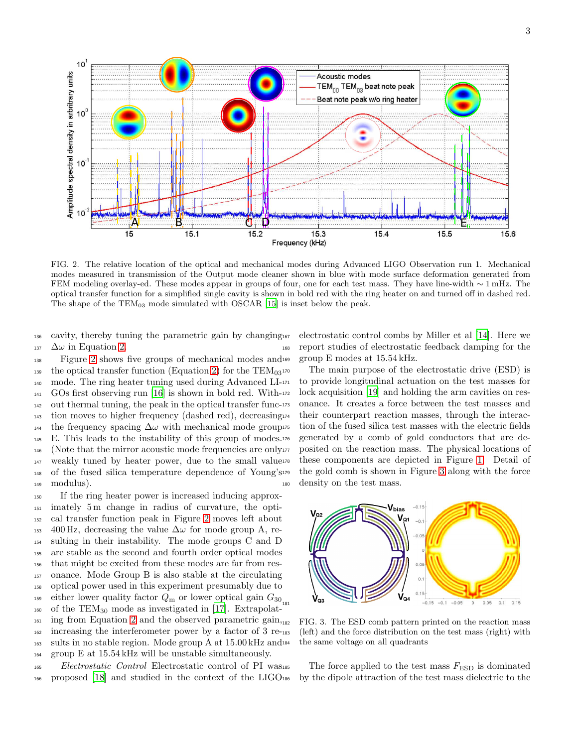

<span id="page-5-0"></span>FIG. 2. The relative location of the optical and mechanical modes during Advanced LIGO Observation run 1. Mechanical modes measured in transmission of the Output mode cleaner shown in blue with mode surface deformation generated from FEM modeling overlay-ed. These modes appear in groups of four, one for each test mass. They have line-width ∼ 1 mHz. The optical transfer function for a simplified single cavity is shown in bold red with the ring heater on and turned off in dashed red. The shape of the TEM<sub>03</sub> mode simulated with OSCAR [\[15](#page-8-14)] is inset below the peak.

<sup>136</sup> cavity, thereby tuning the parametric gain by changing 137  $\Delta\omega$  in Equation [2.](#page-4-0)

 Figure [2](#page-5-0) shows five groups of mechanical modes and <sup>139</sup> the optical transfer function (Equation [2\)](#page-4-0) for the TEM $_{03}$ <sup>170</sup> 140 mode. The ring heater tuning used during Advanced LI-171 GOs first observing run [\[16\]](#page-8-15) is shown in bold red. With- out thermal tuning, the peak in the optical transfer func- tion moves to higher frequency (dashed red), decreasing  $_{144}$  the frequency spacing  $\Delta\omega$  with mechanical mode group E. This leads to the instability of this group of modes. 146 (Note that the mirror acoustic mode frequencies are only weakly tuned by heater power, due to the small value of the fused silica temperature dependence of Young's modulus).

 If the ring heater power is increased inducing approx- imately 5 m change in radius of curvature, the opti- cal transfer function peak in Figure [2](#page-5-0) moves left about 153 400 Hz, decreasing the value  $\Delta\omega$  for mode group A, re- sulting in their instability. The mode groups C and D are stable as the second and fourth order optical modes that might be excited from these modes are far from res- onance. Mode Group B is also stable at the circulating optical power used in this experiment presumably due to <sup>159</sup> either lower quality factor  $Q_{\text{m}}$  or lower optical gain  $G_{30}$ <sub>181</sub>  $_{160}$  of the TEM<sub>30</sub> mode as investigated in [\[17\]](#page-8-16). Extrapolat- $_{161}$  ing from Equation [2](#page-4-0) and the observed parametric gain,  $_{182}$ 162 increasing the interferometer power by a factor of 3 re-183 sults in no stable region. Mode group A at 15.00 kHz and group E at 15.54 kHz will be unstable simultaneously.

<sup>165</sup> Electrostatic Control Electrostatic control of PI was <sup>166</sup> proposed [\[18\]](#page-8-17) and studied in the context of the LIGO

electrostatic control combs by Miller et al [\[14\]](#page-8-11). Here we <sup>168</sup> report studies of electrostatic feedback damping for the group E modes at  $15.54 \text{ kHz}$ .

The main purpose of the electrostatic drive (ESD) is <sup>171</sup> to provide longitudinal actuation on the test masses for lock acquisition [\[19](#page-8-18)] and holding the arm cavities on resonance. It creates a force between the test masses and their counterpart reaction masses, through the interaction of the fused silica test masses with the electric fields generated by a comb of gold conductors that are deposited on the reaction mass. The physical locations of these components are depicted in Figure [1.](#page-4-2) Detail of the gold comb is shown in Figure [3](#page-5-1) along with the force <sup>180</sup> density on the test mass.



<span id="page-5-1"></span>FIG. 3. The ESD comb pattern printed on the reaction mass  $18$  (left) and the force distribution on the test mass (right) with the same voltage on all quadrants

The force applied to the test mass  $F_{\text{ESD}}$  is dominated by the dipole attraction of the test mass dielectric to the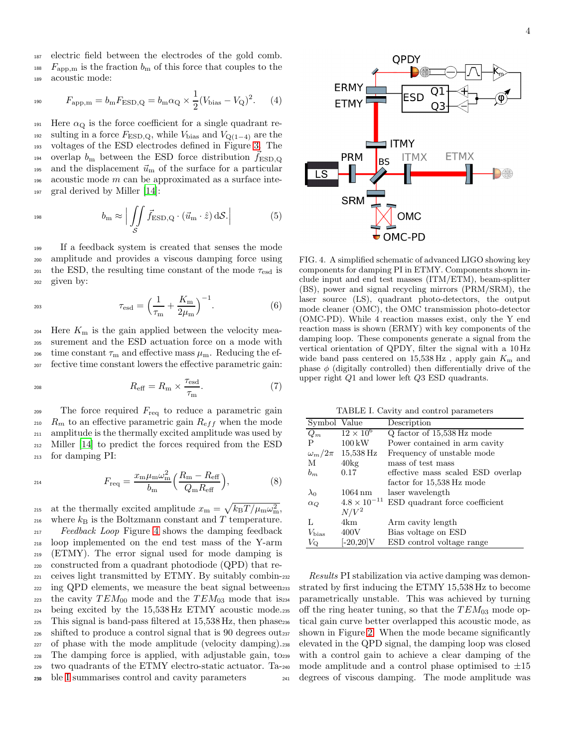<sup>187</sup> electric field between the electrodes of the gold comb. <sup>188</sup>  $F_{\rm app,m}$  is the fraction  $b_m$  of this force that couples to the <sup>189</sup> acoustic mode:

$$
F_{\rm app,m} = b_{\rm m} F_{\rm ESD,Q} = b_{\rm m} \alpha_{\rm Q} \times \frac{1}{2} (V_{\rm bias} - V_{\rm Q})^2.
$$
 (4)

191 Here  $\alpha_{\rm Q}$  is the force coefficient for a single quadrant re-192 sulting in a force  $F_{\text{ESD},\text{Q}}$ , while  $V_{\text{bias}}$  and  $V_{\text{Q}(1-4)}$  are the <sup>193</sup> voltages of the ESD electrodes defined in Figure [3.](#page-5-1) The <sup>194</sup> overlap  $b_m$  between the ESD force distribution  $f_{\text{ESD},Q}$ 195 and the displacement  $\vec{u}_m$  of the surface for a particular 196 acoustic mode  $m$  can be approximated as a surface inte-<sup>197</sup> gral derived by Miller [\[14\]](#page-8-11):

$$
b_{\rm m} \approx \left| \iint\limits_{S} \vec{f}_{\rm ESD,Q} \cdot (\vec{u}_{\rm m} \cdot \hat{z}) \, \mathrm{d}\mathcal{S} \right| \tag{5}
$$

 If a feedback system is created that senses the mode amplitude and provides a viscous damping force using 201 the ESD, the resulting time constant of the mode  $\tau_{esd}$  is given by:

$$
\tau_{\text{esd}} = \left(\frac{1}{\tau_{\text{m}}} + \frac{K_{\text{m}}}{2\mu_{\text{m}}}\right)^{-1}.\tag{6}
$$

<sup>204</sup> Here  $K<sub>m</sub>$  is the gain applied between the velocity mea-<sup>205</sup> surement and the ESD actuation force on a mode with <sup>206</sup> time constant  $\tau_{\rm m}$  and effective mass  $\mu_{\rm m}$ . Reducing the ef-<sup>207</sup> fective time constant lowers the effective parametric gain:

$$
R_{\text{eff}} = R_{\text{m}} \times \frac{\tau_{\text{esd}}}{\tau_{\text{m}}}.\tag{7}
$$

209 The force required  $F_{\text{req}}$  to reduce a parametric gain <sup>210</sup>  $R_m$  to an effective parametric gain  $R_{eff}$  when the mode <sup>211</sup> amplitude is the thermally excited amplitude was used by <sup>212</sup> Miller [\[14\]](#page-8-11) to predict the forces required from the ESD <sup>213</sup> for damping PI:

$$
F_{\text{req}} = \frac{x_{\text{m}}\mu_{\text{m}}\omega_{\text{m}}^2}{b_{\text{m}}} \left(\frac{R_{\text{m}} - R_{\text{eff}}}{Q_{\text{m}}R_{\text{eff}}}\right),\tag{8}
$$

<sup>215</sup> at the thermally excited amplitude  $x_{\rm m} = \sqrt{k_{\rm B}T/\mu_{\rm m}\omega_{\rm m}^2}$ ,  $_{\rm ^{216}}$  where  $k_{\rm B}$  is the Boltzmann constant and  $T$  temperature. Feedback Loop Figure [4](#page-6-0) shows the damping feedback loop implemented on the end test mass of the Y-arm (ETMY). The error signal used for mode damping is constructed from a quadrant photodiode (QPD) that re- ceives light transmitted by ETMY. By suitably combin-<sub>222</sub> ing QPD elements, we measure the beat signal between<sup>233</sup> 223 the cavity  $TEM_{00}$  mode and the  $TEM_{03}$  mode that is 234 being excited by the 15,538 Hz ETMY acoustic mode. This signal is band-pass filtered at 15,538 Hz, then phase shifted to produce a control signal that is 90 degrees out of phase with the mode amplitude (velocity damping). The damping force is applied, with adjustable gain, to two quadrants of the ETMY electro-static actuator. Ta-ble [I](#page-6-1) summarises control and cavity parameters



<span id="page-6-0"></span>FIG. 4. A simplified schematic of advanced LIGO showing key components for damping PI in ETMY. Components shown include input and end test masses (ITM/ETM), beam-splitter (BS), power and signal recycling mirrors (PRM/SRM), the laser source (LS), quadrant photo-detectors, the output mode cleaner (OMC), the OMC transmission photo-detector (OMC-PD). While 4 reaction masses exist, only the Y end reaction mass is shown (ERMY) with key components of the damping loop. These components generate a signal from the vertical orientation of QPDY, filter the signal with a 10 Hz wide band pass centered on  $15{,}538 \text{ Hz}$ , apply gain  $K_{\text{m}}$  and phase  $\phi$  (digitally controlled) then differentially drive of the upper right Q1 and lower left Q3 ESD quadrants.

<span id="page-6-1"></span>TABLE I. Cavity and control parameters

| Symbol Value     |                       | Description                       |
|------------------|-----------------------|-----------------------------------|
| $Q_m$            | $12 \times 10^6$      | Q factor of 15,538 Hz mode        |
| P                | $100\,\mathrm{kW}$    | Power contained in arm cavity     |
| $\omega_m/2\pi$  | 15,538 Hz             | Frequency of unstable mode        |
| М                | $40\text{kg}$         | mass of test mass                 |
| $b_m$            | 0.17                  | effective mass scaled ESD overlap |
|                  |                       | factor for 15,538 Hz mode         |
| $\lambda_0$      | $1064 \text{ nm}$     | laser wavelength                  |
| $\alpha_Q$       | $4.8 \times 10^{-11}$ | ESD quadrant force coefficient    |
|                  | $N/V^2$               |                                   |
| L                | 4km                   | Arm cavity length                 |
| $V_{\rm bias}$   | 400V                  | Bias voltage on ESD               |
| $V_{\mathrm{Q}}$ | $[-20.20]\mathrm{V}$  | ESD control voltage range         |

Results PI stabilization via active damping was demonstrated by first inducing the ETMY 15,538 Hz to become parametrically unstable. This was achieved by turning off the ring heater tuning, so that the  $TEM_{03}$  mode optical gain curve better overlapped this acoustic mode, as shown in Figure [2.](#page-5-0) When the mode became significantly elevated in the QPD signal, the damping loop was closed with a control gain to achieve a clear damping of the mode amplitude and a control phase optimised to  $\pm 15$ <sup>241</sup> degrees of viscous damping. The mode amplitude was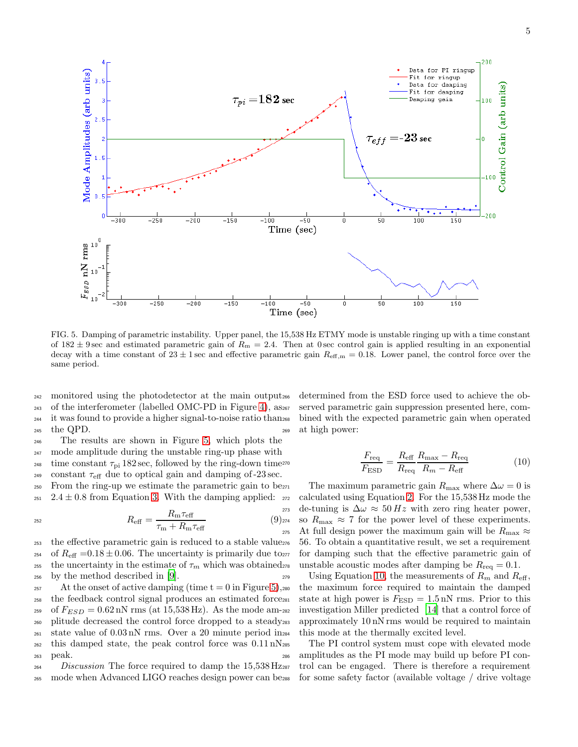

<span id="page-7-0"></span>FIG. 5. Damping of parametric instability. Upper panel, the 15,538 Hz ETMY mode is unstable ringing up with a time constant of  $182 \pm 9$  sec and estimated parametric gain of  $R_m = 2.4$ . Then at 0 sec control gain is applied resulting in an exponential decay with a time constant of  $23 \pm 1$  sec and effective parametric gain  $R_{\text{eff,m}} = 0.18$ . Lower panel, the control force over the same period.

 monitored using the photodetector at the main output of the interferometer (labelled OMC-PD in Figure [4\)](#page-6-0), as it was found to provide a higher signal-to-noise ratio than <sup>245</sup> the QPD.

<sup>246</sup> The results are shown in Figure [5,](#page-7-0) which plots the <sup>247</sup> mode amplitude during the unstable ring-up phase with <sup>248</sup> time constant  $\tau_{pi}$  182 sec, followed by the ring-down time<sup>270</sup> <sup>249</sup> constant  $\tau_{\text{eff}}$  due to optical gain and damping of -23 sec.

<sup>250</sup> From the ring-up we estimate the parametric gain to be 251 2.4  $\pm$  0.8 from Equation [3.](#page-4-1) With the damping applied: 272

$$
R_{\text{eff}} = \frac{R_{\text{m}} \tau_{\text{eff}}}{\tau_{\text{m}} + R_{\text{m}} \tau_{\text{eff}}}
$$
\n(9)<sub>27</sub>\n
$$
R_{\text{eff}} = \frac{R_{\text{m}} \tau_{\text{eff}}}{\tau_{\text{m}} + R_{\text{m}} \tau_{\text{eff}}}
$$

<sup>253</sup> the effective parametric gain is reduced to a stable value <sup>254</sup> of  $R_{\text{eff}} = 0.18 \pm 0.06$ . The uncertainty is primarily due to<sub>277</sub> <sup>255</sup> the uncertainty in the estimate of  $\tau_m$  which was obtained<sub>278</sub> <sup>256</sup> by the method described in [\[9\]](#page-8-6).

257 At the onset of active damping (time  $t = 0$  in Figure [5\)](#page-7-0), 280 <sup>258</sup> the feedback control signal produces an estimated force <sup>259</sup> of  $F_{ESD} = 0.62 \text{ nN rms (at } 15,538 \text{ Hz})$ . As the mode am-282 <sup>260</sup> plitude decreased the control force dropped to a steady  $_{261}$  state value of  $0.03 \text{ nN}$  rms. Over a 20 minute period in<sub>284</sub>  $_{262}$  this damped state, the peak control force was  $0.11 \text{ nN}_{285}$ <sup>263</sup> peak.

<sup>264</sup> Discussion The force required to damp the 15,538 Hz<sub>287</sub> <sup>265</sup> mode when Advanced LIGO reaches design power can be

determined from the ESD force used to achieve the observed parametric gain suppression presented here, combined with the expected parametric gain when operated <sup>269</sup> at high power:

<span id="page-7-1"></span>
$$
\frac{F_{\text{req}}}{F_{\text{ESD}}} = \frac{R_{\text{eff}}}{R_{\text{req}}} \frac{R_{\text{max}} - R_{\text{req}}}{R_m - R_{\text{eff}}}
$$
(10)

The maximum parametric gain  $R_{\text{max}}$  where  $\Delta \omega = 0$  is calculated using Equation [2.](#page-4-0) For the  $15,538$  Hz mode the de-tuning is  $\Delta \omega \approx 50 Hz$  with zero ring heater power, so  $R_{\text{max}} \approx 7$  for the power level of these experiments. 275 At full design power the maximum gain will be  $R_{\text{max}} \approx$ <sup>276</sup> 56. To obtain a quantitative result, we set a requirement for damping such that the effective parametric gain of unstable acoustic modes after damping be  $R_{\text{req}} = 0.1$ .

<sup>279</sup> Using Equation [10,](#page-7-1) the measurements of  $R_m$  and  $R_{\text{eff}}$ , the maximum force required to maintain the damped state at high power is  $F_{\text{ESD}} = 1.5 \text{ nN}$  rms. Prior to this investigation Miller predicted [\[14\]](#page-8-11) that a control force of approximately 10 nN rms would be required to maintain this mode at the thermally excited level.

The PI control system must cope with elevated mode <sup>286</sup> amplitudes as the PI mode may build up before PI control can be engaged. There is therefore a requirement for some safety factor (available voltage / drive voltage